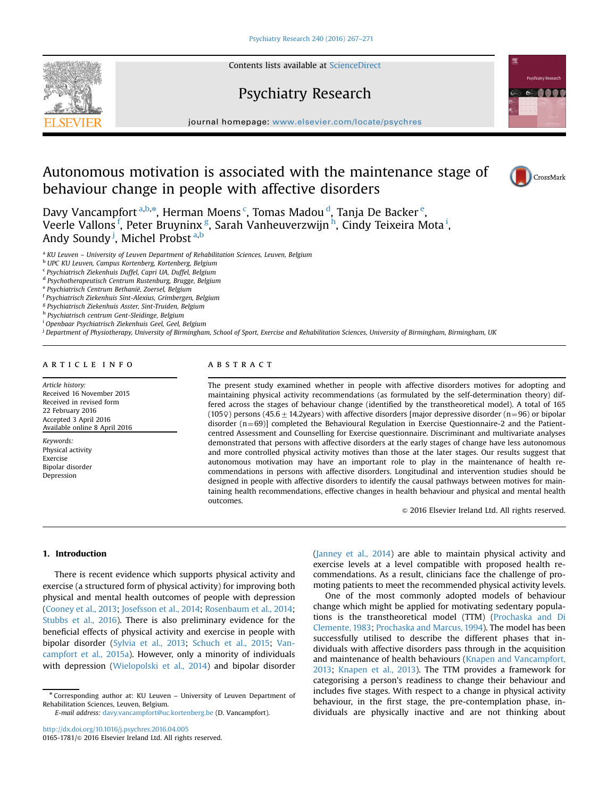Contents lists available at [ScienceDirect](www.sciencedirect.com/science/journal/01651781)

# Psychiatry Research

journal homepage: <www.elsevier.com/locate/psychres>

## Autonomous motivation is associated with the maintenance stage of behaviour change in people with affective disorders

Davy Vancampfort <sup>a,b,\*</sup>, Herman Moens <sup>c</sup>, Tomas Madou <sup>d</sup>, Tanja De Backer <sup>e</sup>, Veerle Vallons <sup>f</sup>, Peter Bruyninx <sup>g</sup>, Sarah Vanheuverzwijn <sup>h</sup>, Cindy Teixeira Mota <sup>i</sup>, Andy Soundy<sup> j</sup>, Michel Probst <sup>a,b</sup>

<sup>a</sup> KU Leuven - University of Leuven Department of Rehabilitation Sciences, Leuven, Belgium

<sup>b</sup> UPC KU Leuven, Campus Kortenberg, Kortenberg, Belgium

<sup>c</sup> Psychiatrisch Ziekenhuis Duffel, Capri UA, Duffel, Belgium

<sup>d</sup> Psychotherapeutisch Centrum Rustenburg, Brugge, Belgium

<sup>e</sup> Psychiatrisch Centrum Bethanië, Zoersel, Belgium

<sup>f</sup> Psychiatrisch Ziekenhuis Sint-Alexius, Grimbergen, Belgium

<sup>g</sup> Psychiatrisch Ziekenhuis Asster, Sint-Truiden, Belgium

<sup>h</sup> Psychiatrisch centrum Gent-Sleidinge, Belgium

<sup>i</sup> Openbaar Psychiatrisch Ziekenhuis Geel, Geel, Belgium

<sup>j</sup> Department of Physiotherapy, University of Birmingham, School of Sport, Exercise and Rehabilitation Sciences, University of Birmingham, Birmingham, UK

#### article info

Article history: Received 16 November 2015 Received in revised form 22 February 2016 Accepted 3 April 2016 Available online 8 April 2016

Keywords: Physical activity Exercise Bipolar disorder Depression

### **ABSTRACT**

The present study examined whether in people with affective disorders motives for adopting and maintaining physical activity recommendations (as formulated by the self-determination theory) differed across the stages of behaviour change (identified by the transtheoretical model). A total of 165 (105 $\varphi$ ) persons (45.6  $\pm$  14.2years) with affective disorders [major depressive disorder (n=96) or bipolar disorder  $(n=69)$ ] completed the Behavioural Regulation in Exercise Questionnaire-2 and the Patientcentred Assessment and Counselling for Exercise questionnaire. Discriminant and multivariate analyses demonstrated that persons with affective disorders at the early stages of change have less autonomous and more controlled physical activity motives than those at the later stages. Our results suggest that autonomous motivation may have an important role to play in the maintenance of health recommendations in persons with affective disorders. Longitudinal and intervention studies should be designed in people with affective disorders to identify the causal pathways between motives for maintaining health recommendations, effective changes in health behaviour and physical and mental health outcomes.

 $©$  2016 Elsevier Ireland Ltd. All rights reserved.

### 1. Introduction

There is recent evidence which supports physical activity and exercise (a structured form of physical activity) for improving both physical and mental health outcomes of people with depression (Cooney et al., 2013; Josefsson et al., 2014; Rosenbaum et al., 2014; Stubbs et al., 2016). There is also preliminary evidence for the beneficial effects of physical activity and exercise in people with bipolar disorder (Sylvia et al., 2013; Schuch et al., 2015; Vancampfort et al., 2015a). However, only a minority of individuals with depression (Wielopolski et al., 2014) and bipolar disorder

<sup>n</sup> Corresponding author at: KU Leuven – University of Leuven Department of Rehabilitation Sciences, Leuven, Belgium.

E-mail address: [davy.vancampfort@uc.kortenberg.be](mailto:davy.vancampfort@uc.kortenberg.be) (D. Vancampfort).

<http://dx.doi.org/10.1016/j.psychres.2016.04.005> 0165-1781/© 2016 Elsevier Ireland Ltd. All rights reserved. (Janney et al., 2014) are able to maintain physical activity and exercise levels at a level compatible with proposed health recommendations. As a result, clinicians face the challenge of promoting patients to meet the recommended physical activity levels.

One of the most commonly adopted models of behaviour change which might be applied for motivating sedentary populations is the transtheoretical model (TTM) (Prochaska and Di Clemente, 1983; Prochaska and Marcus, 1994). The model has been successfully utilised to describe the different phases that individuals with affective disorders pass through in the acquisition and maintenance of health behaviours (Knapen and Vancampfort, 2013; Knapen et al., 2013). The TTM provides a framework for categorising a person's readiness to change their behaviour and includes five stages. With respect to a change in physical activity behaviour, in the first stage, the pre-contemplation phase, individuals are physically inactive and are not thinking about





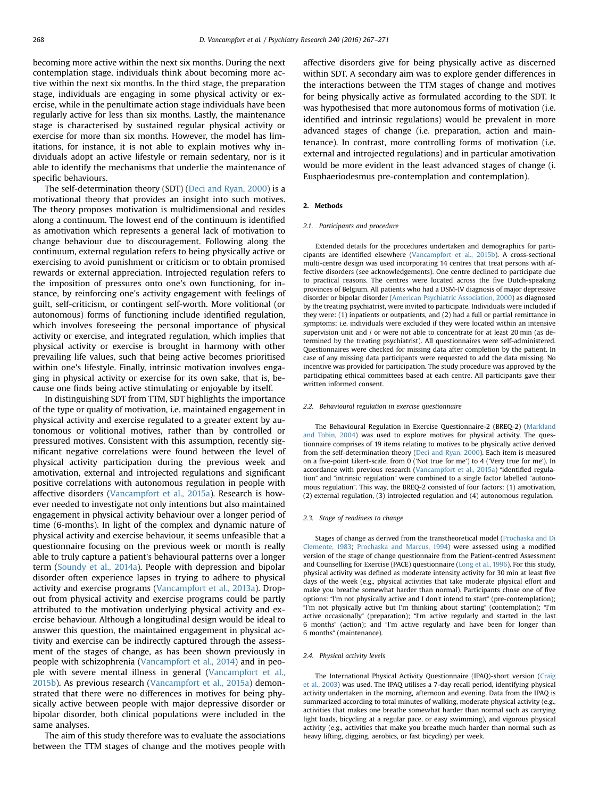becoming more active within the next six months. During the next contemplation stage, individuals think about becoming more active within the next six months. In the third stage, the preparation stage, individuals are engaging in some physical activity or exercise, while in the penultimate action stage individuals have been regularly active for less than six months. Lastly, the maintenance stage is characterised by sustained regular physical activity or exercise for more than six months. However, the model has limitations, for instance, it is not able to explain motives why individuals adopt an active lifestyle or remain sedentary, nor is it able to identify the mechanisms that underlie the maintenance of specific behaviours.

The self-determination theory (SDT) (Deci and Ryan, 2000) is a motivational theory that provides an insight into such motives. The theory proposes motivation is multidimensional and resides along a continuum. The lowest end of the continuum is identified as amotivation which represents a general lack of motivation to change behaviour due to discouragement. Following along the continuum, external regulation refers to being physically active or exercising to avoid punishment or criticism or to obtain promised rewards or external appreciation. Introjected regulation refers to the imposition of pressures onto one's own functioning, for instance, by reinforcing one's activity engagement with feelings of guilt, self-criticism, or contingent self-worth. More volitional (or autonomous) forms of functioning include identified regulation, which involves foreseeing the personal importance of physical activity or exercise, and integrated regulation, which implies that physical activity or exercise is brought in harmony with other prevailing life values, such that being active becomes prioritised within one's lifestyle. Finally, intrinsic motivation involves engaging in physical activity or exercise for its own sake, that is, because one finds being active stimulating or enjoyable by itself.

In distinguishing SDT from TTM, SDT highlights the importance of the type or quality of motivation, i.e. maintained engagement in physical activity and exercise regulated to a greater extent by autonomous or volitional motives, rather than by controlled or pressured motives. Consistent with this assumption, recently significant negative correlations were found between the level of physical activity participation during the previous week and amotivation, external and introjected regulations and significant positive correlations with autonomous regulation in people with affective disorders (Vancampfort et al., 2015a). Research is however needed to investigate not only intentions but also maintained engagement in physical activity behaviour over a longer period of time (6-months). In light of the complex and dynamic nature of physical activity and exercise behaviour, it seems unfeasible that a questionnaire focusing on the previous week or month is really able to truly capture a patient's behavioural patterns over a longer term (Soundy et al., 2014a). People with depression and bipolar disorder often experience lapses in trying to adhere to physical activity and exercise programs (Vancampfort et al., 2013a). Dropout from physical activity and exercise programs could be partly attributed to the motivation underlying physical activity and exercise behaviour. Although a longitudinal design would be ideal to answer this question, the maintained engagement in physical activity and exercise can be indirectly captured through the assessment of the stages of change, as has been shown previously in people with schizophrenia (Vancampfort et al., 2014) and in people with severe mental illness in general (Vancampfort et al., 2015b). As previous research (Vancampfort et al., 2015a) demonstrated that there were no differences in motives for being physically active between people with major depressive disorder or bipolar disorder, both clinical populations were included in the same analyses.

The aim of this study therefore was to evaluate the associations between the TTM stages of change and the motives people with affective disorders give for being physically active as discerned within SDT. A secondary aim was to explore gender differences in the interactions between the TTM stages of change and motives for being physically active as formulated according to the SDT. It was hypothesised that more autonomous forms of motivation (i.e. identified and intrinsic regulations) would be prevalent in more advanced stages of change (i.e. preparation, action and maintenance). In contrast, more controlling forms of motivation (i.e. external and introjected regulations) and in particular amotivation would be more evident in the least advanced stages of change (i. Eusphaeriodesmus pre-contemplation and contemplation).

#### 2. Methods

#### 2.1. Participants and procedure

Extended details for the procedures undertaken and demographics for participants are identified elsewhere (Vancampfort et al., 2015b). A cross-sectional multi-centre design was used incorporating 14 centres that treat persons with affective disorders (see acknowledgements). One centre declined to participate due to practical reasons. The centres were located across the five Dutch-speaking provinces of Belgium. All patients who had a DSM-IV diagnosis of major depressive disorder or bipolar disorder (American Psychiatric Association, 2000) as diagnosed by the treating psychiatrist, were invited to participate. Individuals were included if they were: (1) inpatients or outpatients, and (2) had a full or partial remittance in symptoms; i.e. individuals were excluded if they were located within an intensive supervision unit and / or were not able to concentrate for at least 20 min (as determined by the treating psychiatrist). All questionnaires were self-administered. Questionnaires were checked for missing data after completion by the patient. In case of any missing data participants were requested to add the data missing. No incentive was provided for participation. The study procedure was approved by the participating ethical committees based at each centre. All participants gave their written informed consent.

#### 2.2. Behavioural regulation in exercise questionnaire

The Behavioural Regulation in Exercise Questionnaire-2 (BREQ-2) (Markland and Tobin, 2004) was used to explore motives for physical activity. The questionnaire comprises of 19 items relating to motives to be physically active derived from the self-determination theory (Deci and Ryan, 2000). Each item is measured on a five-point Likert-scale, from 0 ('Not true for me') to 4 ('Very true for me'). In accordance with previous research (Vancampfort et al., 2015a) "identified regulation" and "intrinsic regulation" were combined to a single factor labelled "autonomous regulation". This way, the BREQ-2 consisted of four factors: (1) amotivation, (2) external regulation, (3) introjected regulation and (4) autonomous regulation.

#### 2.3. Stage of readiness to change

Stages of change as derived from the transtheoretical model (Prochaska and Di Clemente, 1983; Prochaska and Marcus, 1994) were assessed using a modified version of the stage of change questionnaire from the Patient-centred Assessment and Counselling for Exercise (PACE) questionnaire (Long et al., 1996). For this study, physical activity was defined as moderate intensity activity for 30 min at least five days of the week (e.g., physical activities that take moderate physical effort and make you breathe somewhat harder than normal). Participants chose one of five options: "I'm not physically active and I don't intend to start" (pre-contemplation); "I'm not physically active but I'm thinking about starting" (contemplation); "I'm active occasionally" (preparation); "I'm active regularly and started in the last 6 months" (action); and "I'm active regularly and have been for longer than 6 months" (maintenance).

#### 2.4. Physical activity levels

The International Physical Activity Questionnaire (IPAQ)-short version (Craig et al., 2003) was used. The IPAQ utilises a 7-day recall period, identifying physical activity undertaken in the morning, afternoon and evening. Data from the IPAQ is summarized according to total minutes of walking, moderate physical activity (e.g., activities that makes one breathe somewhat harder than normal such as carrying light loads, bicycling at a regular pace, or easy swimming), and vigorous physical activity (e.g., activities that make you breathe much harder than normal such as heavy lifting, digging, aerobics, or fast bicycling) per week.